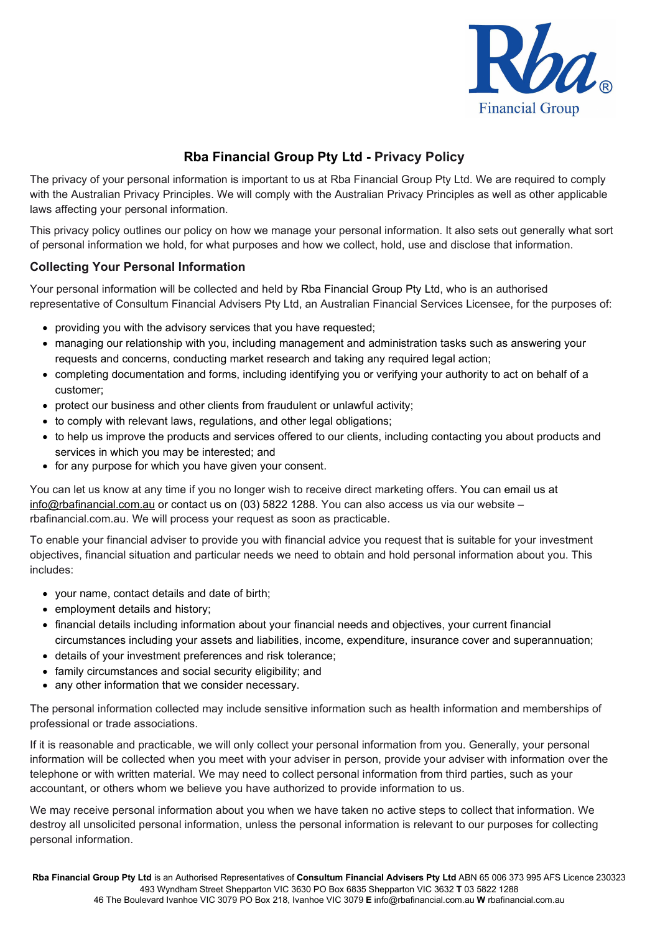

# **Rba Financial Group Pty Ltd - Privacy Policy**

The privacy of your personal information is important to us at Rba Financial Group Pty Ltd. We are required to comply with the Australian Privacy Principles. We will comply with the Australian Privacy Principles as well as other applicable laws affecting your personal information.

This privacy policy outlines our policy on how we manage your personal information. It also sets out generally what sort of personal information we hold, for what purposes and how we collect, hold, use and disclose that information.

# **Collecting Your Personal Information**

Your personal information will be collected and held by Rba Financial Group Pty Ltd, who is an authorised representative of Consultum Financial Advisers Pty Ltd, an Australian Financial Services Licensee, for the purposes of:

- providing you with the advisory services that you have requested;
- managing our relationship with you, including management and administration tasks such as answering your requests and concerns, conducting market research and taking any required legal action;
- completing documentation and forms, including identifying you or verifying your authority to act on behalf of a customer;
- protect our business and other clients from fraudulent or unlawful activity;
- to comply with relevant laws, regulations, and other legal obligations;
- to help us improve the products and services offered to our clients, including contacting you about products and services in which you may be interested; and
- for any purpose for which you have given your consent.

You can let us know at any time if you no longer wish to receive direct marketing offers. You can email us at [info@rbafinancial.com.au](mailto:info@rbafinancial.com.au) or contact us on (03) 5822 1288. You can also access us via our website – rbafinancial.com.au. We will process your request as soon as practicable.

To enable your financial adviser to provide you with financial advice you request that is suitable for your investment objectives, financial situation and particular needs we need to obtain and hold personal information about you. This includes:

- your name, contact details and date of birth;
- employment details and history;
- financial details including information about your financial needs and objectives, your current financial circumstances including your assets and liabilities, income, expenditure, insurance cover and superannuation;
- details of your investment preferences and risk tolerance;
- family circumstances and social security eligibility; and
- any other information that we consider necessary.

The personal information collected may include sensitive information such as health information and memberships of professional or trade associations.

If it is reasonable and practicable, we will only collect your personal information from you. Generally, your personal information will be collected when you meet with your adviser in person, provide your adviser with information over the telephone or with written material. We may need to collect personal information from third parties, such as your accountant, or others whom we believe you have authorized to provide information to us.

We may receive personal information about you when we have taken no active steps to collect that information. We destroy all unsolicited personal information, unless the personal information is relevant to our purposes for collecting personal information.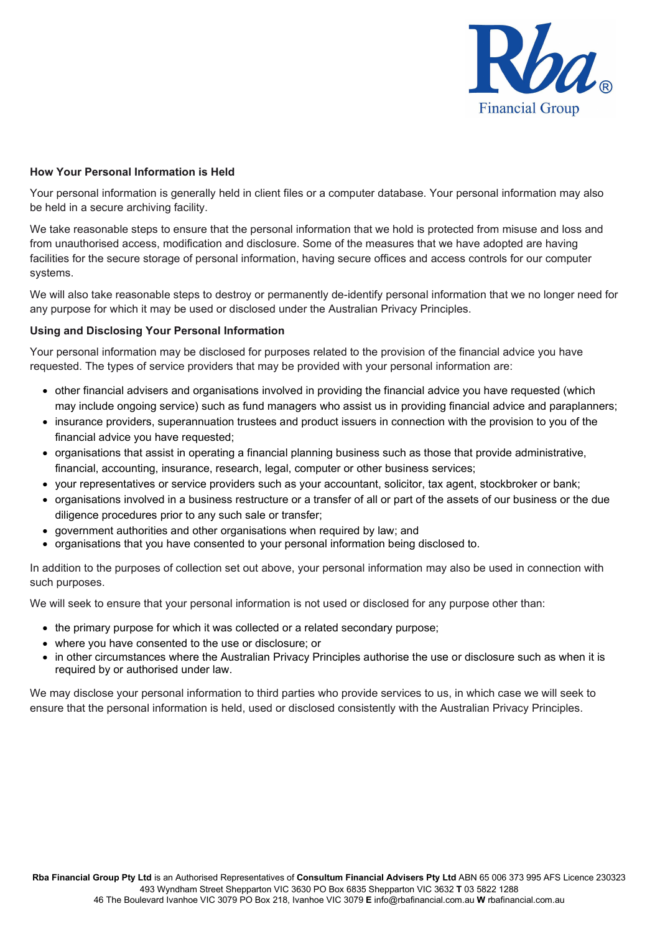

### **How Your Personal Information is Held**

Your personal information is generally held in client files or a computer database. Your personal information may also be held in a secure archiving facility.

We take reasonable steps to ensure that the personal information that we hold is protected from misuse and loss and from unauthorised access, modification and disclosure. Some of the measures that we have adopted are having facilities for the secure storage of personal information, having secure offices and access controls for our computer systems.

We will also take reasonable steps to destroy or permanently de-identify personal information that we no longer need for any purpose for which it may be used or disclosed under the Australian Privacy Principles.

#### **Using and Disclosing Your Personal Information**

Your personal information may be disclosed for purposes related to the provision of the financial advice you have requested. The types of service providers that may be provided with your personal information are:

- other financial advisers and organisations involved in providing the financial advice you have requested (which may include ongoing service) such as fund managers who assist us in providing financial advice and paraplanners;
- insurance providers, superannuation trustees and product issuers in connection with the provision to you of the financial advice you have requested;
- organisations that assist in operating a financial planning business such as those that provide administrative, financial, accounting, insurance, research, legal, computer or other business services;
- your representatives or service providers such as your accountant, solicitor, tax agent, stockbroker or bank;
- organisations involved in a business restructure or a transfer of all or part of the assets of our business or the due diligence procedures prior to any such sale or transfer;
- government authorities and other organisations when required by law; and
- organisations that you have consented to your personal information being disclosed to.

In addition to the purposes of collection set out above, your personal information may also be used in connection with such purposes.

We will seek to ensure that your personal information is not used or disclosed for any purpose other than:

- the primary purpose for which it was collected or a related secondary purpose;
- where you have consented to the use or disclosure; or
- in other circumstances where the Australian Privacy Principles authorise the use or disclosure such as when it is required by or authorised under law.

We may disclose your personal information to third parties who provide services to us, in which case we will seek to ensure that the personal information is held, used or disclosed consistently with the Australian Privacy Principles.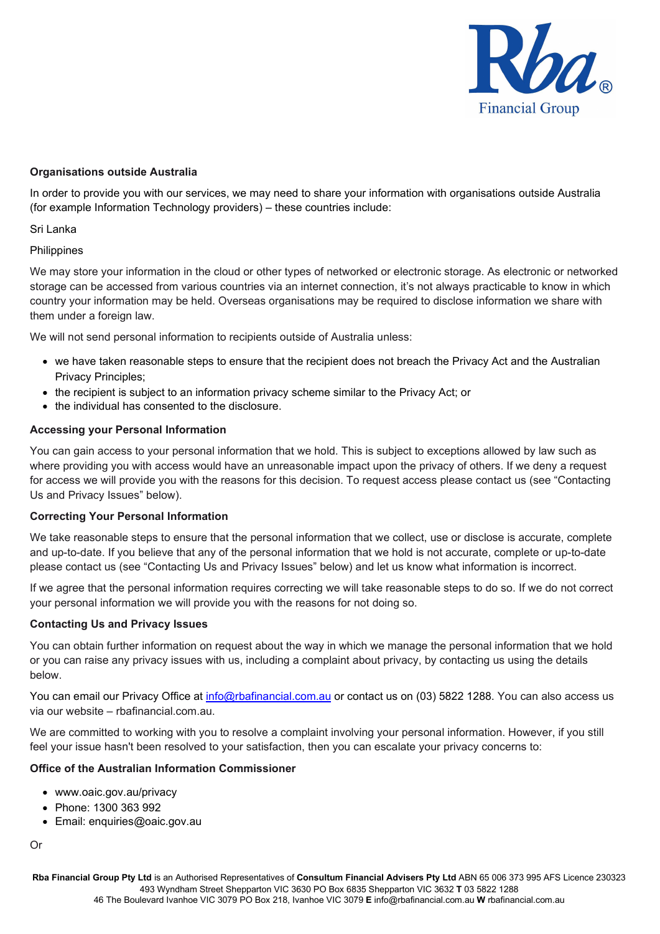

### **Organisations outside Australia**

In order to provide you with our services, we may need to share your information with organisations outside Australia (for example Information Technology providers) – these countries include:

Sri Lanka

#### Philippines

We may store your information in the cloud or other types of networked or electronic storage. As electronic or networked storage can be accessed from various countries via an internet connection, it's not always practicable to know in which country your information may be held. Overseas organisations may be required to disclose information we share with them under a foreign law.

We will not send personal information to recipients outside of Australia unless:

- we have taken reasonable steps to ensure that the recipient does not breach the Privacy Act and the Australian Privacy Principles;
- the recipient is subject to an information privacy scheme similar to the Privacy Act; or
- the individual has consented to the disclosure.

#### **Accessing your Personal Information**

You can gain access to your personal information that we hold. This is subject to exceptions allowed by law such as where providing you with access would have an unreasonable impact upon the privacy of others. If we deny a request for access we will provide you with the reasons for this decision. To request access please contact us (see "Contacting Us and Privacy Issues" below).

#### **Correcting Your Personal Information**

We take reasonable steps to ensure that the personal information that we collect, use or disclose is accurate, complete and up-to-date. If you believe that any of the personal information that we hold is not accurate, complete or up-to-date please contact us (see "Contacting Us and Privacy Issues" below) and let us know what information is incorrect.

If we agree that the personal information requires correcting we will take reasonable steps to do so. If we do not correct your personal information we will provide you with the reasons for not doing so.

#### **Contacting Us and Privacy Issues**

You can obtain further information on request about the way in which we manage the personal information that we hold or you can raise any privacy issues with us, including a complaint about privacy, by contacting us using the details below.

You can email our Privacy Office at [info@rbafinancial.com.au](mailto:info@rbafinancial.com.au) or contact us on (03) 5822 1288. You can also access us via our website – rbafinancial.com.au.

We are committed to working with you to resolve a complaint involving your personal information. However, if you still feel your issue hasn't been resolved to your satisfaction, then you can escalate your privacy concerns to:

## **Office of the Australian Information Commissioner**

- www.oaic.gov.au/privacy
- Phone: 1300 363 992
- Email: enquiries@oaic.gov.au

Or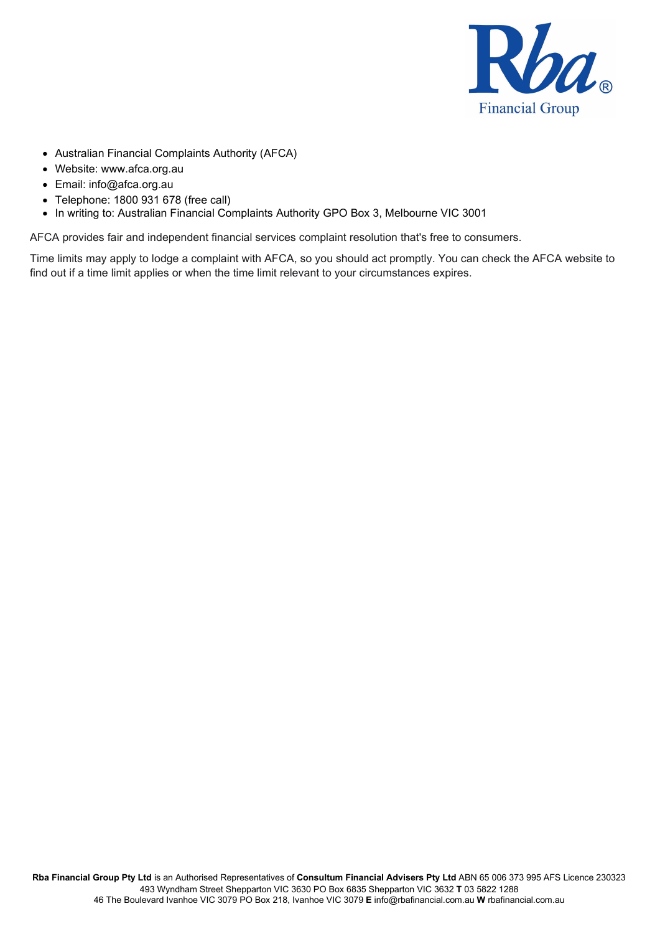

- Australian Financial Complaints Authority (AFCA)
- Website: www.afca.org.au
- Email: info@afca.org.au
- Telephone: 1800 931 678 (free call)
- In writing to: Australian Financial Complaints Authority GPO Box 3, Melbourne VIC 3001

AFCA provides fair and independent financial services complaint resolution that's free to consumers.

Time limits may apply to lodge a complaint with AFCA, so you should act promptly. You can check the AFCA website to find out if a time limit applies or when the time limit relevant to your circumstances expires.